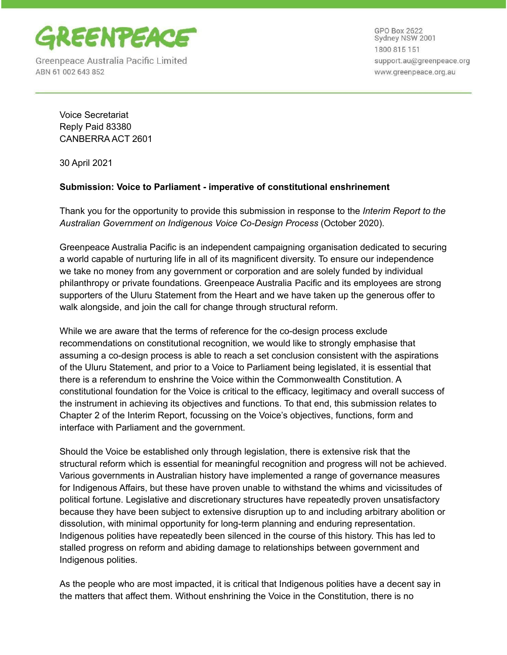

Greenpeace Australia Pacific Limited ABN 61 002 643 852

**GPO Box 2622** Sydney NSW 2001 1800 815 151 support.au@greenpeace.org www.greenpeace.org.au

 Reply Paid 83380 CANBERRA ACT 2601 Voice Secretariat

30 April 2021

## **Submission: Voice to Parliament - imperative of constitutional enshrinement**

 Thank you for the opportunity to provide this submission in response to the *Interim Report to the Australian Government on Indigenous Voice Co-Design Process* (October 2020).

 Greenpeace Australia Pacific is an independent campaigning organisation dedicated to securing a world capable of nurturing life in all of its magnificent diversity. To ensure our independence we take no money from any government or corporation and are solely funded by individual philanthropy or private foundations. Greenpeace Australia Pacific and its employees are strong supporters of the Uluru Statement from the Heart and we have taken up the generous offer to walk alongside, and join the call for change through structural reform.

 While we are aware that the terms of reference for the co-design process exclude recommendations on constitutional recognition, we would like to strongly emphasise that assuming a co-design process is able to reach a set conclusion consistent with the aspirations of the Uluru Statement, and prior to a Voice to Parliament being legislated, it is essential that there is a referendum to enshrine the Voice within the Commonwealth Constitution. A constitutional foundation for the Voice is critical to the efficacy, legitimacy and overall success of the instrument in achieving its objectives and functions. To that end, this submission relates to Chapter 2 of the Interim Report, focussing on the Voice's objectives, functions, form and interface with Parliament and the government.

 Should the Voice be established only through legislation, there is extensive risk that the structural reform which is essential for meaningful recognition and progress will not be achieved. Various governments in Australian history have implemented a range of governance measures for Indigenous Affairs, but these have proven unable to withstand the whims and vicissitudes of political fortune. Legislative and discretionary structures have repeatedly proven unsatisfactory because they have been subject to extensive disruption up to and including arbitrary abolition or dissolution, with minimal opportunity for long-term planning and enduring representation. Indigenous polities have repeatedly been silenced in the course of this history. This has led to stalled progress on reform and abiding damage to relationships between government and Indigenous polities.

 As the people who are most impacted, it is critical that Indigenous polities have a decent say in the matters that affect them. Without enshrining the Voice in the Constitution, there is no